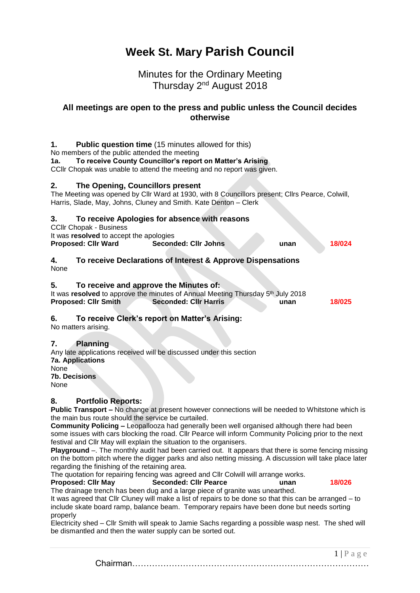# **Week St. Mary Parish Council**

Minutes for the Ordinary Meeting Thursday 2<sup>nd</sup> August 2018

# **All meetings are open to the press and public unless the Council decides otherwise**

| 1.<br><b>Public question time</b> (15 minutes allowed for this)<br>No members of the public attended the meeting<br>To receive County Councillor's report on Matter's Arising<br>1a.<br>CCIIr Chopak was unable to attend the meeting and no report was given.                                                                                                                                                                                                                                                                                                                                                                                                                                                                                                                                                                                                                                                                                                                                                                                                                                                                                                                                                                                                                                                                                                                                        |  |
|-------------------------------------------------------------------------------------------------------------------------------------------------------------------------------------------------------------------------------------------------------------------------------------------------------------------------------------------------------------------------------------------------------------------------------------------------------------------------------------------------------------------------------------------------------------------------------------------------------------------------------------------------------------------------------------------------------------------------------------------------------------------------------------------------------------------------------------------------------------------------------------------------------------------------------------------------------------------------------------------------------------------------------------------------------------------------------------------------------------------------------------------------------------------------------------------------------------------------------------------------------------------------------------------------------------------------------------------------------------------------------------------------------|--|
| The Opening, Councillors present<br>2.<br>The Meeting was opened by Cllr Ward at 1930, with 8 Councillors present; Cllrs Pearce, Colwill,<br>Harris, Slade, May, Johns, Cluney and Smith. Kate Denton - Clerk                                                                                                                                                                                                                                                                                                                                                                                                                                                                                                                                                                                                                                                                                                                                                                                                                                                                                                                                                                                                                                                                                                                                                                                         |  |
| To receive Apologies for absence with reasons<br>3.<br><b>CCIIr Chopak - Business</b><br>It was resolved to accept the apologies<br>18/024<br><b>Proposed: Cllr Ward</b><br><b>Seconded: Cllr Johns</b><br>unan                                                                                                                                                                                                                                                                                                                                                                                                                                                                                                                                                                                                                                                                                                                                                                                                                                                                                                                                                                                                                                                                                                                                                                                       |  |
| To receive Declarations of Interest & Approve Dispensations<br>4.<br>None                                                                                                                                                                                                                                                                                                                                                                                                                                                                                                                                                                                                                                                                                                                                                                                                                                                                                                                                                                                                                                                                                                                                                                                                                                                                                                                             |  |
| To receive and approve the Minutes of:<br>5.<br>It was resolved to approve the minutes of Annual Meeting Thursday 5th July 2018<br><b>Proposed: Cllr Smith</b><br><b>Seconded: Cllr Harris</b><br>18/025<br>unan                                                                                                                                                                                                                                                                                                                                                                                                                                                                                                                                                                                                                                                                                                                                                                                                                                                                                                                                                                                                                                                                                                                                                                                      |  |
| To receive Clerk's report on Matter's Arising:<br>6.<br>No matters arising.                                                                                                                                                                                                                                                                                                                                                                                                                                                                                                                                                                                                                                                                                                                                                                                                                                                                                                                                                                                                                                                                                                                                                                                                                                                                                                                           |  |
| <b>Planning</b><br>7.<br>Any late applications received will be discussed under this section<br><b>7a. Applications</b><br>None<br><b>7b. Decisions</b><br>None                                                                                                                                                                                                                                                                                                                                                                                                                                                                                                                                                                                                                                                                                                                                                                                                                                                                                                                                                                                                                                                                                                                                                                                                                                       |  |
| <b>Portfolio Reports:</b><br>8.<br>Public Transport - No change at present however connections will be needed to Whitstone which is<br>the main bus route should the service be curtailed.<br><b>Community Policing - Leopallooza had generally been well organised although there had been</b><br>some issues with cars blocking the road. Cllr Pearce will inform Community Policing prior to the next<br>festival and Cllr May will explain the situation to the organisers.<br>Playground -. The monthly audit had been carried out. It appears that there is some fencing missing<br>on the bottom pitch where the digger parks and also netting missing. A discussion will take place later<br>regarding the finishing of the retaining area.<br>The quotation for repairing fencing was agreed and CIIr Colwill will arrange works.<br><b>Seconded: Cllr Pearce</b><br>18/026<br><b>Proposed: CIIr May</b><br>unan<br>The drainage trench has been dug and a large piece of granite was unearthed.<br>It was agreed that Cllr Cluney will make a list of repairs to be done so that this can be arranged – to<br>include skate board ramp, balance beam. Temporary repairs have been done but needs sorting<br>properly<br>Electricity shed - Cllr Smith will speak to Jamie Sachs regarding a possible wasp nest. The shed will<br>be dismantled and then the water supply can be sorted out. |  |